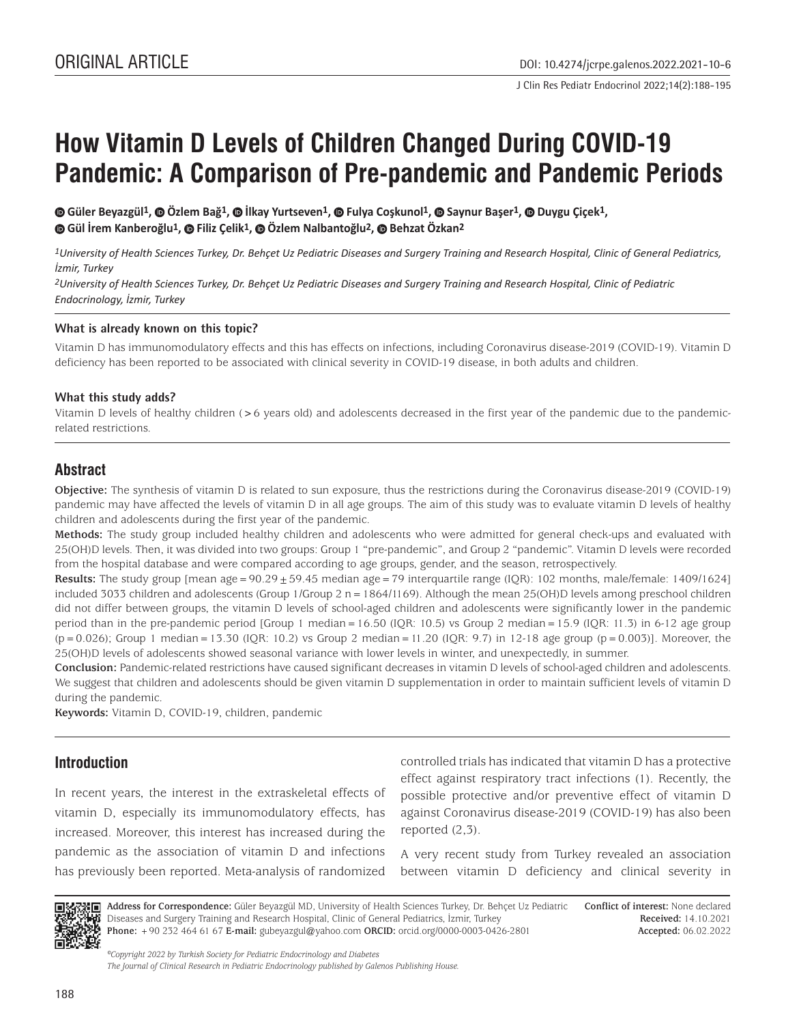J Clin Res Pediatr Endocrinol 2022;14(2):188-195

# **How Vitamin D Levels of Children Changed During COVID-19 Pandemic: A Comparison of Pre-pandemic and Pandemic Periods**

**Güler Beyazgül1, Özlem Bağ1, İlkay Yurtseven1, Fulya Coşkunol1, Saynur Başer1,Duygu Çiçek1, Gül İrem Kanberoğlu1,Filiz Çelik1, Özlem Nalbantoğlu2, Behzat Özkan2**

*1University of Health Sciences Turkey, Dr. Behçet Uz Pediatric Diseases and Surgery Training and Research Hospital, Clinic of General Pediatrics, İzmir, Turkey*

*2University of Health Sciences Turkey, Dr. Behçet Uz Pediatric Diseases and Surgery Training and Research Hospital, Clinic of Pediatric Endocrinology, İzmir, Turkey*

#### **What is already known on this topic?**

Vitamin D has immunomodulatory effects and this has effects on infections, including Coronavirus disease-2019 (COVID-19). Vitamin D deficiency has been reported to be associated with clinical severity in COVID-19 disease, in both adults and children.

#### **What this study adds?**

Vitamin D levels of healthy children (>6 years old) and adolescents decreased in the first year of the pandemic due to the pandemicrelated restrictions.

# **Abstract**

**Objective:** The synthesis of vitamin D is related to sun exposure, thus the restrictions during the Coronavirus disease-2019 (COVID-19) pandemic may have affected the levels of vitamin D in all age groups. The aim of this study was to evaluate vitamin D levels of healthy children and adolescents during the first year of the pandemic.

**Methods:** The study group included healthy children and adolescents who were admitted for general check-ups and evaluated with 25(OH)D levels. Then, it was divided into two groups: Group 1 "pre-pandemic", and Group 2 "pandemic". Vitamin D levels were recorded from the hospital database and were compared according to age groups, gender, and the season, retrospectively.

**Results:** The study group [mean age=90.29±59.45 median age=79 interquartile range (IQR): 102 months, male/female: 1409/1624] included 3033 children and adolescents (Group 1/Group 2 n=1864/1169). Although the mean 25(OH)D levels among preschool children did not differ between groups, the vitamin D levels of school-aged children and adolescents were significantly lower in the pandemic period than in the pre-pandemic period [Group 1 median=16.50 (IQR: 10.5) vs Group 2 median=15.9 (IQR: 11.3) in 6-12 age group  $(p=0.026)$ ; Group 1 median = 13.30 (IQR: 10.2) vs Group 2 median = 11.20 (IQR: 9.7) in 12-18 age group (p=0.003)]. Moreover, the 25(OH)D levels of adolescents showed seasonal variance with lower levels in winter, and unexpectedly, in summer.

**Conclusion:** Pandemic-related restrictions have caused significant decreases in vitamin D levels of school-aged children and adolescents. We suggest that children and adolescents should be given vitamin D supplementation in order to maintain sufficient levels of vitamin D during the pandemic.

**Keywords:** Vitamin D, COVID-19, children, pandemic

# **Introduction**

In recent years, the interest in the extraskeletal effects of vitamin D, especially its immunomodulatory effects, has increased. Moreover, this interest has increased during the pandemic as the association of vitamin D and infections has previously been reported. Meta-analysis of randomized controlled trials has indicated that vitamin D has a protective effect against respiratory tract infections (1). Recently, the possible protective and/or preventive effect of vitamin D against Coronavirus disease-2019 (COVID-19) has also been reported (2,3).

A very recent study from Turkey revealed an association between vitamin D deficiency and clinical severity in



**Address for Correspondence:** Güler Beyazgül MD, University of Health Sciences Turkey, Dr. Behçet Uz Pediatric Diseases and Surgery Training and Research Hospital, Clinic of General Pediatrics, İzmir, Turkey **Phone:** +90 232 464 61 67 **E-mail:** gubeyazgul@yahoo.com **ORCID:** orcid.org/0000-0003-0426-2801

**Conflict of interest:** None declared **Received:** 14.10.2021 **Accepted:** 06.02.2022

*©Copyright 2022 by Turkish Society for Pediatric Endocrinology and Diabetes The Journal of Clinical Research in Pediatric Endocrinology published by Galenos Publishing House.*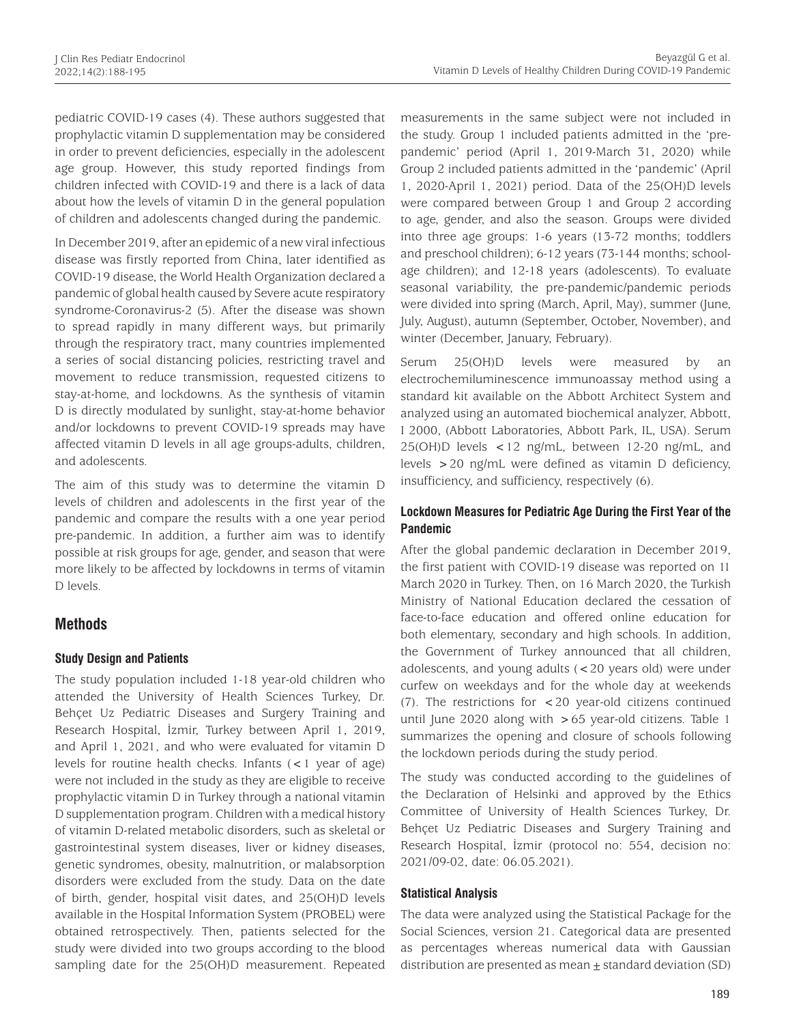pediatric COVID-19 cases (4). These authors suggested that prophylactic vitamin D supplementation may be considered in order to prevent deficiencies, especially in the adolescent age group. However, this study reported findings from children infected with COVID-19 and there is a lack of data about how the levels of vitamin D in the general population of children and adolescents changed during the pandemic.

In December 2019, after an epidemic of a new viral infectious disease was firstly reported from China, later identified as COVID-19 disease, the World Health Organization declared a pandemic of global health caused by Severe acute respiratory syndrome-Coronavirus-2 (5). After the disease was shown to spread rapidly in many different ways, but primarily through the respiratory tract, many countries implemented a series of social distancing policies, restricting travel and movement to reduce transmission, requested citizens to stay-at-home, and lockdowns. As the synthesis of vitamin D is directly modulated by sunlight, stay-at-home behavior and/or lockdowns to prevent COVID-19 spreads may have affected vitamin D levels in all age groups-adults, children, and adolescents.

The aim of this study was to determine the vitamin D levels of children and adolescents in the first year of the pandemic and compare the results with a one year period pre-pandemic. In addition, a further aim was to identify possible at risk groups for age, gender, and season that were more likely to be affected by lockdowns in terms of vitamin D levels.

# **Methods**

## **Study Design and Patients**

The study population included 1-18 year-old children who attended the University of Health Sciences Turkey, Dr. Behçet Uz Pediatric Diseases and Surgery Training and Research Hospital, İzmir, Turkey between April 1, 2019, and April 1, 2021, and who were evaluated for vitamin D levels for routine health checks. Infants (<1 year of age) were not included in the study as they are eligible to receive prophylactic vitamin D in Turkey through a national vitamin D supplementation program. Children with a medical history of vitamin D-related metabolic disorders, such as skeletal or gastrointestinal system diseases, liver or kidney diseases, genetic syndromes, obesity, malnutrition, or malabsorption disorders were excluded from the study. Data on the date of birth, gender, hospital visit dates, and 25(OH)D levels available in the Hospital Information System (PROBEL) were obtained retrospectively. Then, patients selected for the study were divided into two groups according to the blood sampling date for the 25(OH)D measurement. Repeated

measurements in the same subject were not included in the study. Group 1 included patients admitted in the 'prepandemic' period (April 1, 2019-March 31, 2020) while Group 2 included patients admitted in the 'pandemic' (April 1, 2020-April 1, 2021) period. Data of the 25(OH)D levels were compared between Group 1 and Group 2 according to age, gender, and also the season. Groups were divided into three age groups: 1-6 years (13-72 months; toddlers and preschool children); 6-12 years (73-144 months; schoolage children); and 12-18 years (adolescents). To evaluate seasonal variability, the pre-pandemic/pandemic periods were divided into spring (March, April, May), summer (June, July, August), autumn (September, October, November), and winter (December, January, February).

Serum 25(OH)D levels were measured by an electrochemiluminescence immunoassay method using a standard kit available on the Abbott Architect System and analyzed using an automated biochemical analyzer, Abbott, I 2000, (Abbott Laboratories, Abbott Park, IL, USA). Serum  $25(OH)D$  levels <12 ng/mL, between 12-20 ng/mL, and levels >20 ng/mL were defined as vitamin D deficiency, insufficiency, and sufficiency, respectively (6).

## **Lockdown Measures for Pediatric Age During the First Year of the Pandemic**

After the global pandemic declaration in December 2019, the first patient with COVID-19 disease was reported on 11 March 2020 in Turkey. Then, on 16 March 2020, the Turkish Ministry of National Education declared the cessation of face-to-face education and offered online education for both elementary, secondary and high schools. In addition, the Government of Turkey announced that all children, adolescents, and young adults (<20 years old) were under curfew on weekdays and for the whole day at weekends (7). The restrictions for <20 year-old citizens continued until June 2020 along with >65 year-old citizens. Table 1 summarizes the opening and closure of schools following the lockdown periods during the study period.

The study was conducted according to the guidelines of the Declaration of Helsinki and approved by the Ethics Committee of University of Health Sciences Turkey, Dr. Behçet Uz Pediatric Diseases and Surgery Training and Research Hospital, İzmir (protocol no: 554, decision no: 2021/09-02, date: 06.05.2021).

## **Statistical Analysis**

The data were analyzed using the Statistical Package for the Social Sciences, version 21. Categorical data are presented as percentages whereas numerical data with Gaussian distribution are presented as mean  $\pm$  standard deviation (SD)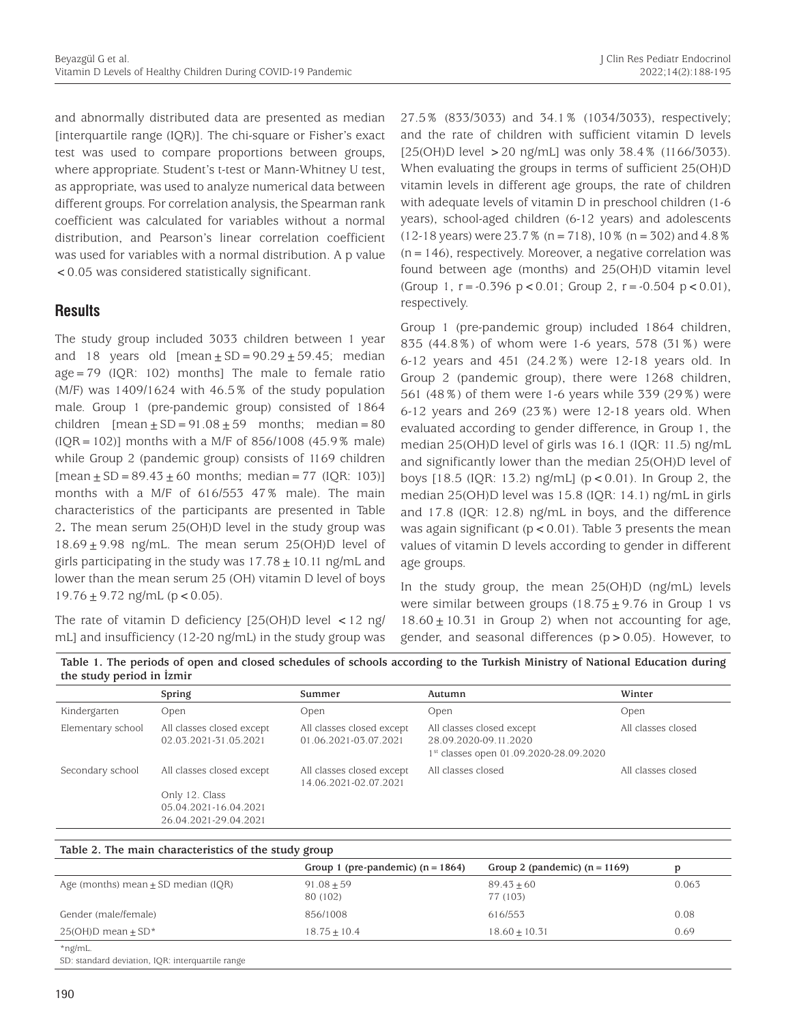and abnormally distributed data are presented as median [interquartile range (IQR)]. The chi-square or Fisher's exact test was used to compare proportions between groups, where appropriate. Student's t-test or Mann-Whitney U test, as appropriate, was used to analyze numerical data between different groups. For correlation analysis, the Spearman rank coefficient was calculated for variables without a normal distribution, and Pearson's linear correlation coefficient was used for variables with a normal distribution. A p value <0.05 was considered statistically significant.

## **Results**

The study group included 3033 children between 1 year and 18 years old  $[mean \pm SD = 90.29 \pm 59.45; median]$  $age = 79$  (IQR: 102) months] The male to female ratio (M/F) was 1409/1624 with 46.5% of the study population male. Group 1 (pre-pandemic group) consisted of 1864 children  $[mean \pm SD = 91.08 \pm 59$  months; median = 80  $(IQR = 102)]$  months with a M/F of 856/1008 (45.9% male) while Group 2 (pandemic group) consists of 1169 children  $[mean \pm SD = 89.43 \pm 60$  months; median = 77 (IQR: 103)] months with a M/F of 616/553 47% male). The main characteristics of the participants are presented in Table 2**.** The mean serum 25(OH)D level in the study group was  $18.69 \pm 9.98$  ng/mL. The mean serum 25(OH)D level of girls participating in the study was  $17.78 \pm 10.11$  ng/mL and lower than the mean serum 25 (OH) vitamin D level of boys  $19.76 \pm 9.72$  ng/mL (p < 0.05).

The rate of vitamin D deficiency  $[25(OH)D]$  level  $\lt 12$  ng/ mL] and insufficiency (12-20 ng/mL) in the study group was 27.5% (833/3033) and 34.1% (1034/3033), respectively; and the rate of children with sufficient vitamin D levels  $[25(OH)D]$  level > 20 ng/mL] was only 38.4% (1166/3033). When evaluating the groups in terms of sufficient 25(OH)D vitamin levels in different age groups, the rate of children with adequate levels of vitamin D in preschool children (1-6 years), school-aged children (6-12 years) and adolescents  $(12-18 \text{ years})$  were 23.7% (n = 718), 10% (n = 302) and 4.8%  $(n=146)$ , respectively. Moreover, a negative correlation was found between age (months) and 25(OH)D vitamin level (Group 1,  $r = -0.396$  p < 0.01; Group 2,  $r = -0.504$  p < 0.01), respectively.

Group 1 (pre-pandemic group) included 1864 children, 835 (44.8%) of whom were 1-6 years, 578 (31%) were 6-12 years and 451 (24.2%) were 12-18 years old. In Group 2 (pandemic group), there were 1268 children, 561 (48%) of them were 1-6 years while 339 (29%) were 6-12 years and 269 (23%) were 12-18 years old. When evaluated according to gender difference, in Group 1, the median 25(OH)D level of girls was 16.1 (IQR: 11.5) ng/mL and significantly lower than the median 25(OH)D level of boys [18.5 (IQR: 13.2) ng/mL] (p<0.01). In Group 2, the median 25(OH)D level was 15.8 (IQR: 14.1) ng/mL in girls and 17.8 (IQR: 12.8) ng/mL in boys, and the difference was again significant ( $p < 0.01$ ). Table 3 presents the mean values of vitamin D levels according to gender in different age groups.

In the study group, the mean 25(OH)D (ng/mL) levels were similar between groups  $(18.75 \pm 9.76)$  in Group 1 vs  $18.60 \pm 10.31$  in Group 2) when not accounting for age, gender, and seasonal differences  $(p > 0.05)$ . However, to

**Table 1. The periods of open and closed schedules of schools according to the Turkish Ministry of National Education during the study period in İzmir**

|                   | Spring                                                           | Summer                                             | Autumn                                                                                                   | Winter             |
|-------------------|------------------------------------------------------------------|----------------------------------------------------|----------------------------------------------------------------------------------------------------------|--------------------|
| Kindergarten      | Open                                                             | Open                                               | Open                                                                                                     | Open               |
| Elementary school | All classes closed except<br>02.03.2021-31.05.2021               | All classes closed except<br>01.06.2021-03.07.2021 | All classes closed except<br>28.09.2020-09.11.2020<br>1 <sup>st</sup> classes open 01.09.2020-28.09.2020 | All classes closed |
| Secondary school  | All classes closed except                                        | All classes closed except<br>14.06.2021-02.07.2021 | All classes closed                                                                                       | All classes closed |
|                   | Only 12. Class<br>05.04.2021-16.04.2021<br>26.04.2021-29.04.2021 |                                                    |                                                                                                          |                    |

| rable 2. The main characteristics of the study group |                                     |                                 |       |  |
|------------------------------------------------------|-------------------------------------|---------------------------------|-------|--|
|                                                      | Group 1 (pre-pandemic) $(n = 1864)$ | Group 2 (pandemic) $(n = 1169)$ |       |  |
| Age (months) mean $\pm$ SD median (IQR)              | $91.08 + 59$<br>80 (102)            | $89.43 + 60$<br>77 (103)        | 0.063 |  |
| Gender (male/female)                                 | 856/1008                            | 616/553                         | 0.08  |  |
| $25(OH)D$ mean + SD <sup>*</sup>                     | $18.75 + 10.4$                      | $18.60 + 10.31$                 | 0.69  |  |
| $*$ ng/mL.                                           |                                     |                                 |       |  |

\*ng/mL.

SD: standard deviation, IQR: interquartile range

**Table 2. The main characteristics of the study group**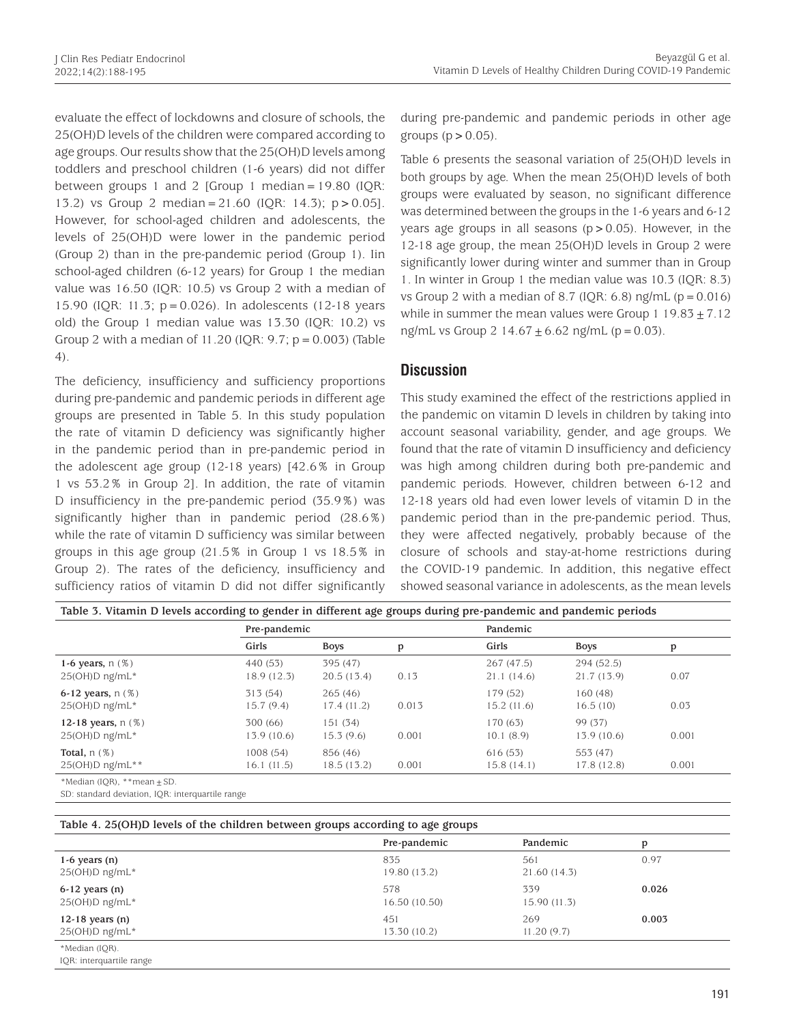evaluate the effect of lockdowns and closure of schools, the 25(OH)D levels of the children were compared according to age groups. Our results show that the 25(OH)D levels among toddlers and preschool children (1-6 years) did not differ between groups 1 and 2  $[Group 1 median = 19.80 (IQR:$ 13.2) vs Group 2 median=21.60 (IQR: 14.3); p>0.05]. However, for school-aged children and adolescents, the levels of 25(OH)D were lower in the pandemic period (Group 2) than in the pre-pandemic period (Group 1). Iin school-aged children (6-12 years) for Group 1 the median value was 16.50 (IQR: 10.5) vs Group 2 with a median of 15.90 (IQR: 11.3; p=0.026). In adolescents (12-18 years old) the Group 1 median value was 13.30 (IQR: 10.2) vs Group 2 with a median of 11.20 (IQR: 9.7;  $p = 0.003$ ) (Table 4).

The deficiency, insufficiency and sufficiency proportions during pre-pandemic and pandemic periods in different age groups are presented in Table 5. In this study population the rate of vitamin D deficiency was significantly higher in the pandemic period than in pre-pandemic period in the adolescent age group (12-18 years) [42.6% in Group 1 vs 53.2% in Group 2]. In addition, the rate of vitamin D insufficiency in the pre-pandemic period (35.9%) was significantly higher than in pandemic period (28.6%) while the rate of vitamin D sufficiency was similar between groups in this age group (21.5% in Group 1 vs 18.5% in Group 2). The rates of the deficiency, insufficiency and sufficiency ratios of vitamin D did not differ significantly during pre-pandemic and pandemic periods in other age groups  $(p>0.05)$ .

Table 6 presents the seasonal variation of 25(OH)D levels in both groups by age. When the mean 25(OH)D levels of both groups were evaluated by season, no significant difference was determined between the groups in the 1-6 years and 6-12 years age groups in all seasons ( $p > 0.05$ ). However, in the 12-18 age group, the mean 25(OH)D levels in Group 2 were significantly lower during winter and summer than in Group 1. In winter in Group 1 the median value was 10.3 (IQR: 8.3) vs Group 2 with a median of 8.7 (IQR: 6.8) ng/mL ( $p = 0.016$ ) while in summer the mean values were Group 1 19.83  $\pm$  7.12 ng/mL vs Group 2 14.67  $\pm$  6.62 ng/mL (p = 0.03).

## **Discussion**

This study examined the effect of the restrictions applied in the pandemic on vitamin D levels in children by taking into account seasonal variability, gender, and age groups. We found that the rate of vitamin D insufficiency and deficiency was high among children during both pre-pandemic and pandemic periods. However, children between 6-12 and 12-18 years old had even lower levels of vitamin D in the pandemic period than in the pre-pandemic period. Thus, they were affected negatively, probably because of the closure of schools and stay-at-home restrictions during the COVID-19 pandemic. In addition, this negative effect showed seasonal variance in adolescents, as the mean levels

|                                        | Pre-pandemic            |                         |       | Pandemic                 |                          |       |
|----------------------------------------|-------------------------|-------------------------|-------|--------------------------|--------------------------|-------|
|                                        | Girls                   | <b>Boys</b>             | p     | Girls                    | <b>Boys</b>              | p     |
| 1-6 years, $n$ (%)<br>25(OH)D ng/mL*   | 440 (53)<br>18.9 (12.3) | 395 (47)<br>20.5(13.4)  | 0.13  | 267 (47.5)<br>21.1(14.6) | 294 (52.5)<br>21.7(13.9) | 0.07  |
| 6-12 years, $n$ (%)<br>25(OH)D ng/mL*  | 313 (54)<br>15.7(9.4)   | 265(46)<br>17.4 (11.2)  | 0.013 | 179 (52)<br>15.2(11.6)   | 160 (48)<br>16.5(10)     | 0.03  |
| 12-18 years, $n$ (%)<br>25(OH)D ng/mL* | 300 (66)<br>13.9 (10.6) | 151 (34)<br>15.3(9.6)   | 0.001 | 170 (63)<br>10.1(8.9)    | 99 (37)<br>13.9 (10.6)   | 0.001 |
| Total, $n$ (%)<br>$25(OH)D$ ng/mL**    | 1008 (54)<br>16.1(11.5) | 856 (46)<br>18.5 (13.2) | 0.001 | 616 (53)<br>15.8(14.1)   | 553 (47)<br>17.8 (12.8)  | 0.001 |

SD: standard deviation, IQR: interquartile range

| Table 4. 25(OH)D levels of the children between groups according to age groups |               |             |       |  |
|--------------------------------------------------------------------------------|---------------|-------------|-------|--|
|                                                                                | Pre-pandemic  | Pandemic    | p     |  |
| 1-6 years $(n)$                                                                | 835           | 561         | 0.97  |  |
| $25(OH)D$ ng/mL*                                                               | 19.80 (13.2)  | 21.60(14.3) |       |  |
| $6-12$ years $(n)$                                                             | 578           | 339         | 0.026 |  |
| $25(OH)D$ ng/mL*                                                               | 16.50 (10.50) | 15.90(11.3) |       |  |
| 12-18 years $(n)$                                                              | 451           | 269         | 0.003 |  |
| $25(OH)D$ ng/mL*                                                               | 13.30 (10.2)  | 11.20(9.7)  |       |  |
| *Median (IOR).<br>IOR: interguartile range                                     |               |             |       |  |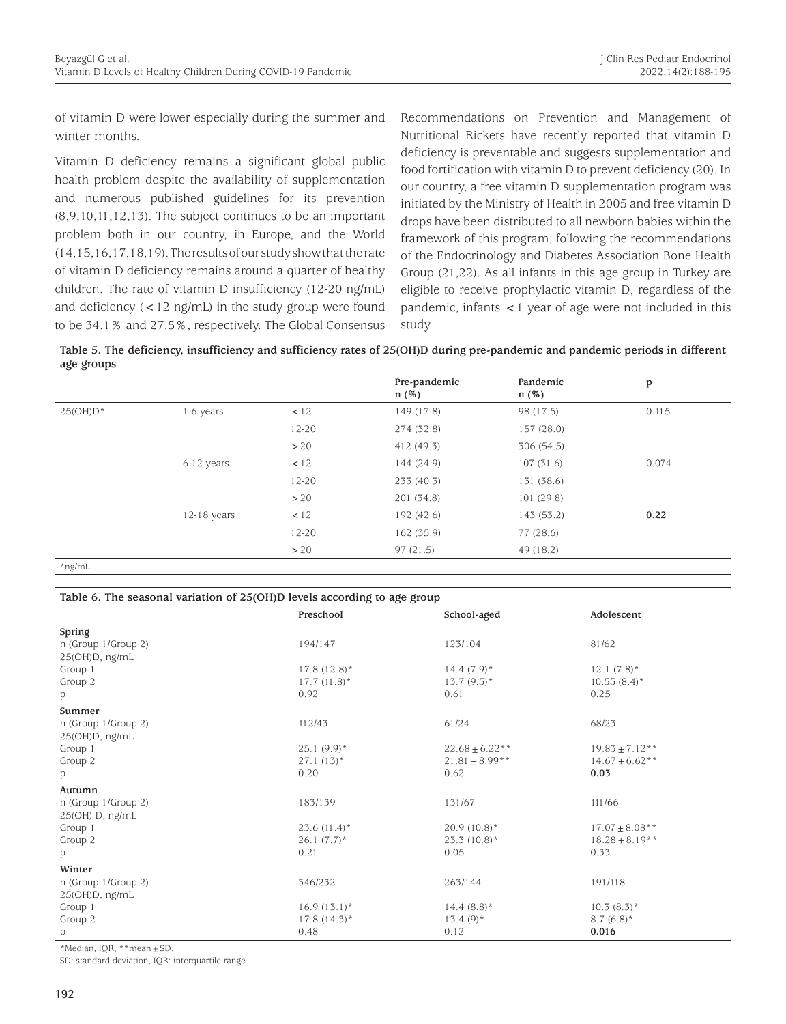of vitamin D were lower especially during the summer and winter months.

Vitamin D deficiency remains a significant global public health problem despite the availability of supplementation and numerous published guidelines for its prevention (8,9,10,11,12,13). The subject continues to be an important problem both in our country, in Europe, and the World (14,15,16,17,18,19). The results of our study show that the rate of vitamin D deficiency remains around a quarter of healthy children. The rate of vitamin D insufficiency (12-20 ng/mL) and deficiency (<12 ng/mL) in the study group were found to be 34.1% and 27.5%, respectively. The Global Consensus

Recommendations on Prevention and Management of Nutritional Rickets have recently reported that vitamin D deficiency is preventable and suggests supplementation and food fortification with vitamin D to prevent deficiency (20). In our country, a free vitamin D supplementation program was initiated by the Ministry of Health in 2005 and free vitamin D drops have been distributed to all newborn babies within the framework of this program, following the recommendations of the Endocrinology and Diabetes Association Bone Health Group (21,22). As all infants in this age group in Turkey are eligible to receive prophylactic vitamin D, regardless of the pandemic, infants <1 year of age were not included in this study.

**Table 5. The deficiency, insufficiency and sufficiency rates of 25(OH)D during pre-pandemic and pandemic periods in different age groups**

|             |               |           | Pre-pandemic<br>$n$ (%) | Pandemic<br>$n$ (%) | p     |
|-------------|---------------|-----------|-------------------------|---------------------|-------|
| $25(OH)D^*$ | $1-6$ years   | < 12      | 149 (17.8)              | 98 (17.5)           | 0.115 |
|             |               | $12 - 20$ | 274 (32.8)              | 157(28.0)           |       |
|             |               | >20       | 412 (49.3)              | 306 (54.5)          |       |
|             | $6-12$ years  | < 12      | 144 (24.9)              | 107(31.6)           | 0.074 |
|             |               | $12 - 20$ | 233(40.3)               | 131 (38.6)          |       |
|             |               | >20       | 201 (34.8)              | 101 (29.8)          |       |
|             | $12-18$ years | < 12      | 192 (42.6)              | 143 (53.2)          | 0.22  |
|             |               | $12 - 20$ | 162 (35.9)              | 77 (28.6)           |       |
|             |               | >20       | 97(21.5)                | 49 (18.2)           |       |

\*ng/mL.

#### **Table 6. The seasonal variation of 25(OH)D levels according to age group**

|                                | Preschool      | School-aged         | Adolescent          |
|--------------------------------|----------------|---------------------|---------------------|
| Spring                         |                |                     |                     |
| n (Group 1/Group 2)            | 194/147        | 123/104             | 81/62               |
| 25(OH)D, ng/mL                 |                |                     |                     |
| Group 1                        | $17.8(12.8)$ * | $14.4(7.9)$ *       | $12.1 (7.8)^*$      |
| Group 2                        | $17.7(11.8)^*$ | $13.7(9.5)^*$       | $10.55(8.4)^*$      |
| p                              | 0.92           | 0.61                | 0.25                |
| Summer                         |                |                     |                     |
| n (Group 1/Group 2)            | 112/43         | 61/24               | 68/23               |
| 25(OH)D, ng/mL                 |                |                     |                     |
| Group 1                        | $25.1(9.9)$ *  | $22.68 \pm 6.22**$  | $19.83 \pm 7.12**$  |
| Group 2                        | $27.1(13)*$    | $21.81 \pm 8.99$ ** | $14.67 \pm 6.62**$  |
| p                              | 0.20           | 0.62                | 0.03                |
| Autumn                         |                |                     |                     |
| n (Group 1/Group 2)            | 183/139        | 131/67              | 111/66              |
| 25(OH) D, ng/mL                |                |                     |                     |
| Group 1                        | $23.6(11.4)^*$ | $20.9(10.8)^*$      | $17.07 \pm 8.08$ ** |
| Group 2                        | $26.1(7.7)^*$  | $23.3(10.8)^*$      | $18.28 \pm 8.19**$  |
| р                              | 0.21           | 0.05                | 0.33                |
| Winter                         |                |                     |                     |
| n (Group 1/Group 2)            | 346/232        | 263/144             | 191/118             |
| 25(OH)D, ng/mL                 |                |                     |                     |
| Group 1                        | $16.9(13.1)^*$ | $14.4(8.8)$ *       | $10.3(8.3)^*$       |
| Group 2                        | $17.8(14.3)^*$ | $13.4(9)$ *         | $8.7(6.8)$ *        |
| p                              | 0.48           | 0.12                | 0.016               |
| *Median, IQR, **mean $\pm$ SD. |                |                     |                     |

SD: standard deviation, IQR: interquartile range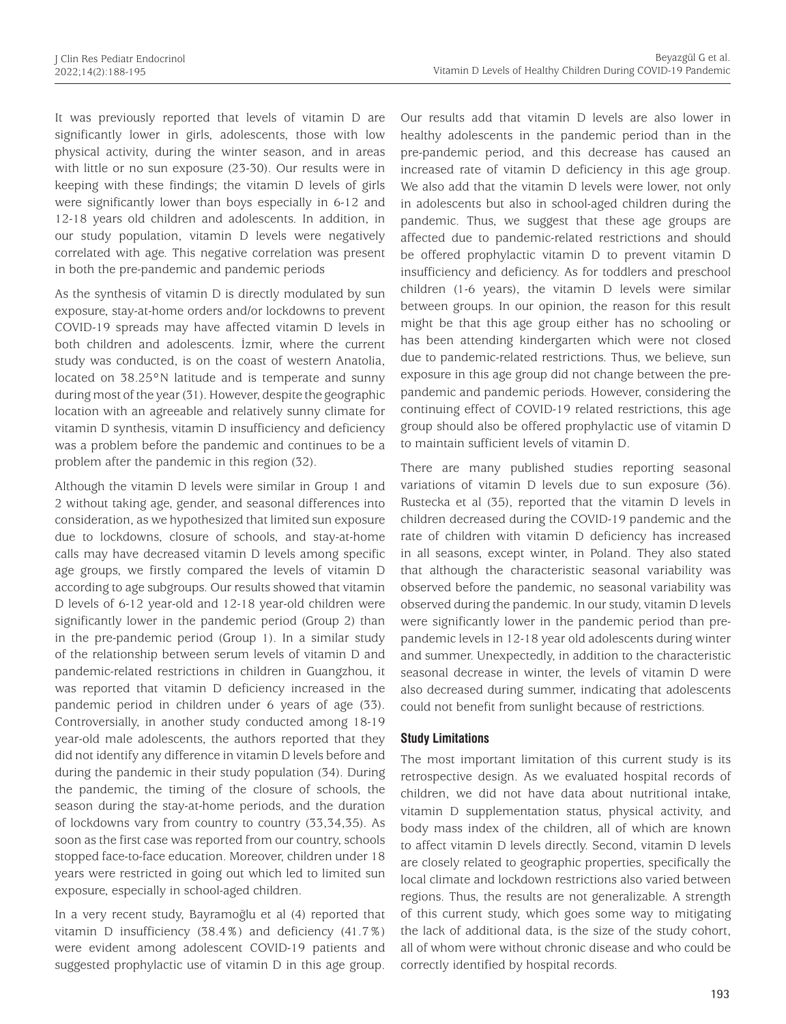It was previously reported that levels of vitamin D are significantly lower in girls, adolescents, those with low physical activity, during the winter season, and in areas with little or no sun exposure (23-30). Our results were in keeping with these findings; the vitamin D levels of girls were significantly lower than boys especially in 6-12 and 12-18 years old children and adolescents. In addition, in our study population, vitamin D levels were negatively correlated with age. This negative correlation was present in both the pre-pandemic and pandemic periods

As the synthesis of vitamin D is directly modulated by sun exposure, stay-at-home orders and/or lockdowns to prevent COVID-19 spreads may have affected vitamin D levels in both children and adolescents. İzmir, where the current study was conducted, is on the coast of western Anatolia, located on 38.25°N latitude and is temperate and sunny during most of the year (31). However, despite the geographic location with an agreeable and relatively sunny climate for vitamin D synthesis, vitamin D insufficiency and deficiency was a problem before the pandemic and continues to be a problem after the pandemic in this region (32).

Although the vitamin D levels were similar in Group 1 and 2 without taking age, gender, and seasonal differences into consideration, as we hypothesized that limited sun exposure due to lockdowns, closure of schools, and stay-at-home calls may have decreased vitamin D levels among specific age groups, we firstly compared the levels of vitamin D according to age subgroups. Our results showed that vitamin D levels of 6-12 year-old and 12-18 year-old children were significantly lower in the pandemic period (Group 2) than in the pre-pandemic period (Group 1). In a similar study of the relationship between serum levels of vitamin D and pandemic-related restrictions in children in Guangzhou, it was reported that vitamin D deficiency increased in the pandemic period in children under 6 years of age (33). Controversially, in another study conducted among 18-19 year-old male adolescents, the authors reported that they did not identify any difference in vitamin D levels before and during the pandemic in their study population (34). During the pandemic, the timing of the closure of schools, the season during the stay-at-home periods, and the duration of lockdowns vary from country to country (33,34,35). As soon as the first case was reported from our country, schools stopped face-to-face education. Moreover, children under 18 years were restricted in going out which led to limited sun exposure, especially in school-aged children.

In a very recent study, Bayramoğlu et al (4) reported that vitamin D insufficiency (38.4%) and deficiency (41.7%) were evident among adolescent COVID-19 patients and suggested prophylactic use of vitamin D in this age group.

Our results add that vitamin D levels are also lower in healthy adolescents in the pandemic period than in the pre-pandemic period, and this decrease has caused an increased rate of vitamin D deficiency in this age group. We also add that the vitamin D levels were lower, not only in adolescents but also in school-aged children during the pandemic. Thus, we suggest that these age groups are affected due to pandemic-related restrictions and should be offered prophylactic vitamin D to prevent vitamin D insufficiency and deficiency. As for toddlers and preschool children (1-6 years), the vitamin D levels were similar between groups. In our opinion, the reason for this result might be that this age group either has no schooling or has been attending kindergarten which were not closed due to pandemic-related restrictions. Thus, we believe, sun exposure in this age group did not change between the prepandemic and pandemic periods. However, considering the continuing effect of COVID-19 related restrictions, this age group should also be offered prophylactic use of vitamin D to maintain sufficient levels of vitamin D.

There are many published studies reporting seasonal variations of vitamin D levels due to sun exposure (36). Rustecka et al (35), reported that the vitamin D levels in children decreased during the COVID-19 pandemic and the rate of children with vitamin D deficiency has increased in all seasons, except winter, in Poland. They also stated that although the characteristic seasonal variability was observed before the pandemic, no seasonal variability was observed during the pandemic. In our study, vitamin D levels were significantly lower in the pandemic period than prepandemic levels in 12-18 year old adolescents during winter and summer. Unexpectedly, in addition to the characteristic seasonal decrease in winter, the levels of vitamin D were also decreased during summer, indicating that adolescents could not benefit from sunlight because of restrictions.

#### **Study Limitations**

The most important limitation of this current study is its retrospective design. As we evaluated hospital records of children, we did not have data about nutritional intake, vitamin D supplementation status, physical activity, and body mass index of the children, all of which are known to affect vitamin D levels directly. Second, vitamin D levels are closely related to geographic properties, specifically the local climate and lockdown restrictions also varied between regions. Thus, the results are not generalizable. A strength of this current study, which goes some way to mitigating the lack of additional data, is the size of the study cohort, all of whom were without chronic disease and who could be correctly identified by hospital records.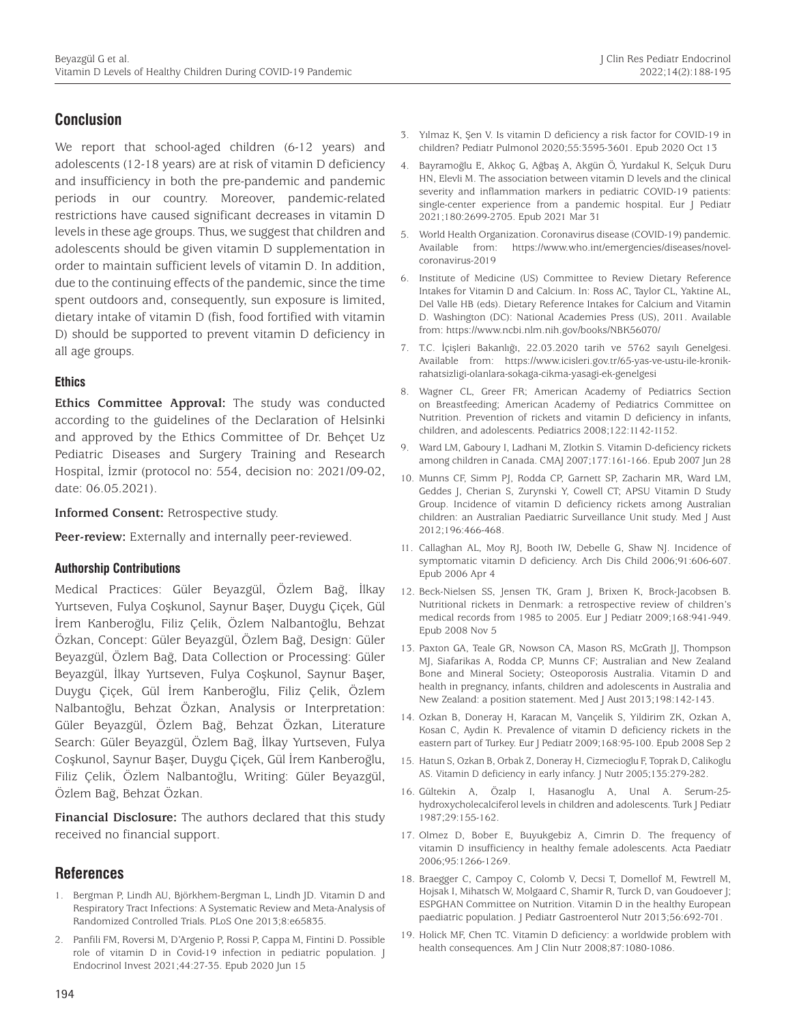# **Conclusion**

We report that school-aged children (6-12 years) and adolescents (12-18 years) are at risk of vitamin D deficiency and insufficiency in both the pre-pandemic and pandemic periods in our country. Moreover, pandemic-related restrictions have caused significant decreases in vitamin D levels in these age groups. Thus, we suggest that children and adolescents should be given vitamin D supplementation in order to maintain sufficient levels of vitamin D. In addition, due to the continuing effects of the pandemic, since the time spent outdoors and, consequently, sun exposure is limited, dietary intake of vitamin D (fish, food fortified with vitamin D) should be supported to prevent vitamin D deficiency in all age groups.

#### **Ethics**

**Ethics Committee Approval:** The study was conducted according to the guidelines of the Declaration of Helsinki and approved by the Ethics Committee of Dr. Behçet Uz Pediatric Diseases and Surgery Training and Research Hospital, İzmir (protocol no: 554, decision no: 2021/09-02, date: 06.05.2021).

**Informed Consent:** Retrospective study.

**Peer-review:** Externally and internally peer-reviewed.

#### **Authorship Contributions**

Medical Practices: Güler Beyazgül, Özlem Bağ, İlkay Yurtseven, Fulya Coşkunol, Saynur Başer, Duygu Çiçek, Gül İrem Kanberoğlu, Filiz Çelik, Özlem Nalbantoğlu, Behzat Özkan, Concept: Güler Beyazgül, Özlem Bağ, Design: Güler Beyazgül, Özlem Bağ, Data Collection or Processing: Güler Beyazgül, İlkay Yurtseven, Fulya Coşkunol, Saynur Başer, Duygu Çiçek, Gül İrem Kanberoğlu, Filiz Çelik, Özlem Nalbantoğlu, Behzat Özkan, Analysis or Interpretation: Güler Beyazgül, Özlem Bağ, Behzat Özkan, Literature Search: Güler Beyazgül, Özlem Bağ, İlkay Yurtseven, Fulya Coşkunol, Saynur Başer, Duygu Çiçek, Gül İrem Kanberoğlu, Filiz Çelik, Özlem Nalbantoğlu, Writing: Güler Beyazgül, Özlem Bağ, Behzat Özkan.

**Financial Disclosure:** The authors declared that this study received no financial support.

## **References**

- 1. Bergman P, Lindh AU, Björkhem-Bergman L, Lindh JD. Vitamin D and Respiratory Tract Infections: A Systematic Review and Meta-Analysis of Randomized Controlled Trials. PLoS One 2013;8:e65835.
- 2. Panfili FM, Roversi M, D'Argenio P, Rossi P, Cappa M, Fintini D. Possible role of vitamin D in Covid-19 infection in pediatric population. J Endocrinol Invest 2021;44:27-35. Epub 2020 Jun 15
- 3. Yılmaz K, Şen V. Is vitamin D deficiency a risk factor for COVID‐19 in children? Pediatr Pulmonol 2020;55:3595-3601. Epub 2020 Oct 13
- 4. Bayramoğlu E, Akkoç G, Ağbaş A, Akgün Ö, Yurdakul K, Selçuk Duru HN, Elevli M. The association between vitamin D levels and the clinical severity and inflammation markers in pediatric COVID-19 patients: single-center experience from a pandemic hospital. Eur J Pediatr 2021;180:2699-2705. Epub 2021 Mar 31
- 5. World Health Organization. Coronavirus disease (COVID-19) pandemic. Available from: https://www.who.int/emergencies/diseases/novelcoronavirus-2019
- 6. Institute of Medicine (US) Committee to Review Dietary Reference Intakes for Vitamin D and Calcium. In: Ross AC, Taylor CL, Yaktine AL, Del Valle HB (eds). Dietary Reference Intakes for Calcium and Vitamin D. Washington (DC): National Academies Press (US), 2011. Available from: https://www.ncbi.nlm.nih.gov/books/NBK56070/
- 7. T.C. İçişleri Bakanlığı, 22.03.2020 tarih ve 5762 sayılı Genelgesi. Available from: https://www.icisleri.gov.tr/65-yas-ve-ustu-ile-kronikrahatsizligi-olanlara-sokaga-cikma-yasagi-ek-genelgesi
- 8. Wagner CL, Greer FR; American Academy of Pediatrics Section on Breastfeeding; American Academy of Pediatrics Committee on Nutrition. Prevention of rickets and vitamin D deficiency in infants, children, and adolescents. Pediatrics 2008;122:1142-1152.
- 9. Ward LM, Gaboury I, Ladhani M, Zlotkin S. Vitamin D-deficiency rickets among children in Canada. CMAJ 2007;177:161-166. Epub 2007 Jun 28
- 10. Munns CF, Simm PJ, Rodda CP, Garnett SP, Zacharin MR, Ward LM, Geddes J, Cherian S, Zurynski Y, Cowell CT; APSU Vitamin D Study Group. Incidence of vitamin D deficiency rickets among Australian children: an Australian Paediatric Surveillance Unit study. Med J Aust 2012;196:466-468.
- 11. Callaghan AL, Moy RJ, Booth IW, Debelle G, Shaw NJ. Incidence of symptomatic vitamin D deficiency. Arch Dis Child 2006;91:606-607. Epub 2006 Apr 4
- 12. Beck-Nielsen SS, Jensen TK, Gram J, Brixen K, Brock-Jacobsen B. Nutritional rickets in Denmark: a retrospective review of children's medical records from 1985 to 2005. Eur J Pediatr 2009;168:941-949. Epub 2008 Nov 5
- 13. Paxton GA, Teale GR, Nowson CA, Mason RS, McGrath JJ, Thompson MJ, Siafarikas A, Rodda CP, Munns CF; Australian and New Zealand Bone and Mineral Society; Osteoporosis Australia. Vitamin D and health in pregnancy, infants, children and adolescents in Australia and New Zealand: a position statement. Med J Aust 2013;198:142-143.
- 14. Ozkan B, Doneray H, Karacan M, Vançelik S, Yildirim ZK, Ozkan A, Kosan C, Aydin K. Prevalence of vitamin D deficiency rickets in the eastern part of Turkey. Eur J Pediatr 2009;168:95-100. Epub 2008 Sep 2
- 15. Hatun S, Ozkan B, Orbak Z, Doneray H, Cizmecioglu F, Toprak D, Calikoglu AS. Vitamin D deficiency in early infancy. J Nutr 2005;135:279-282.
- 16. Gültekin A, Özalp I, Hasanoglu A, Unal A. Serum-25 hydroxycholecalciferol levels in children and adolescents. Turk J Pediatr 1987;29:155-162.
- 17. Olmez D, Bober E, Buyukgebiz A, Cimrin D. The frequency of vitamin D insufficiency in healthy female adolescents. Acta Paediatr 2006;95:1266-1269.
- 18. Braegger C, Campoy C, Colomb V, Decsi T, Domellof M, Fewtrell M, Hojsak I, Mihatsch W, Molgaard C, Shamir R, Turck D, van Goudoever J; ESPGHAN Committee on Nutrition. Vitamin D in the healthy European paediatric population. J Pediatr Gastroenterol Nutr 2013;56:692-701.
- 19. Holick MF, Chen TC. Vitamin D deficiency: a worldwide problem with health consequences. Am J Clin Nutr 2008;87:1080-1086.